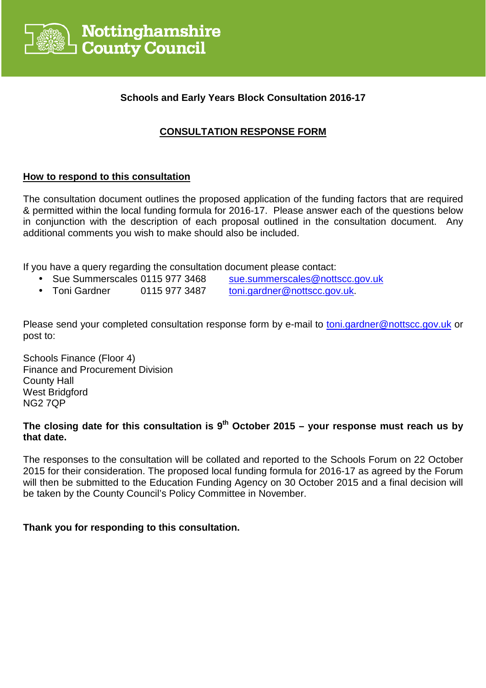

## **Schools and Early Years Block Consultation 2016-17**

# **CONSULTATION RESPONSE FORM**

## **How to respond to this consultation**

The consultation document outlines the proposed application of the funding factors that are required & permitted within the local funding formula for 2016-17. Please answer each of the questions below in conjunction with the description of each proposal outlined in the consultation document. Any additional comments you wish to make should also be included.

If you have a query regarding the consultation document please contact:

- Sue Summerscales 0115 977 3468 sue.summerscales@nottscc.gov.uk
- Toni Gardner 0115 977 3487 toni.gardner@nottscc.gov.uk.

Please send your completed consultation response form by e-mail to toni.gardner@nottscc.gov.uk or post to:

Schools Finance (Floor 4) Finance and Procurement Division County Hall West Bridgford NG2 7QP

# **The closing date for this consultation is 9th October 2015 – your response must reach us by that date.**

The responses to the consultation will be collated and reported to the Schools Forum on 22 October 2015 for their consideration. The proposed local funding formula for 2016-17 as agreed by the Forum will then be submitted to the Education Funding Agency on 30 October 2015 and a final decision will be taken by the County Council's Policy Committee in November.

## **Thank you for responding to this consultation.**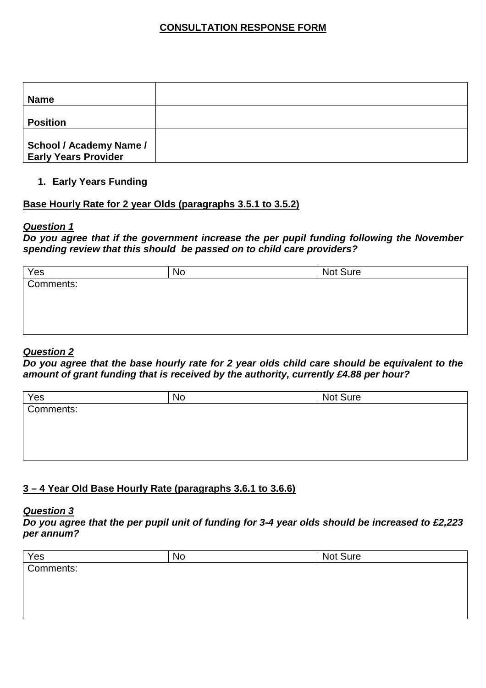## **CONSULTATION RESPONSE FORM**

| <b>Name</b>                                                   |  |
|---------------------------------------------------------------|--|
| <b>Position</b>                                               |  |
| <b>School / Academy Name /</b><br><b>Early Years Provider</b> |  |

#### **1. Early Years Funding**

### **Base Hourly Rate for 2 year Olds (paragraphs 3.5.1 to 3.5.2)**

#### **Question 1**

**Do you agree that if the government increase the per pupil funding following the November spending review that this should be passed on to child care providers?** 

| Yes       | No | Not Sure |  |
|-----------|----|----------|--|
| Comments: |    |          |  |
|           |    |          |  |
|           |    |          |  |
|           |    |          |  |
|           |    |          |  |

#### **Question 2**

**Do you agree that the base hourly rate for 2 year olds child care should be equivalent to the amount of grant funding that is received by the authority, currently £4.88 per hour?** 

| Yes       | No | Not Sure |
|-----------|----|----------|
| Comments: |    |          |
|           |    |          |
|           |    |          |
|           |    |          |
|           |    |          |

### **3 – 4 Year Old Base Hourly Rate (paragraphs 3.6.1 to 3.6.6)**

#### **Question 3**

**Do you agree that the per pupil unit of funding for 3-4 year olds should be increased to £2,223 per annum?** 

| Yes       | No | Not Sure |
|-----------|----|----------|
| Comments: |    |          |
|           |    |          |
|           |    |          |
|           |    |          |
|           |    |          |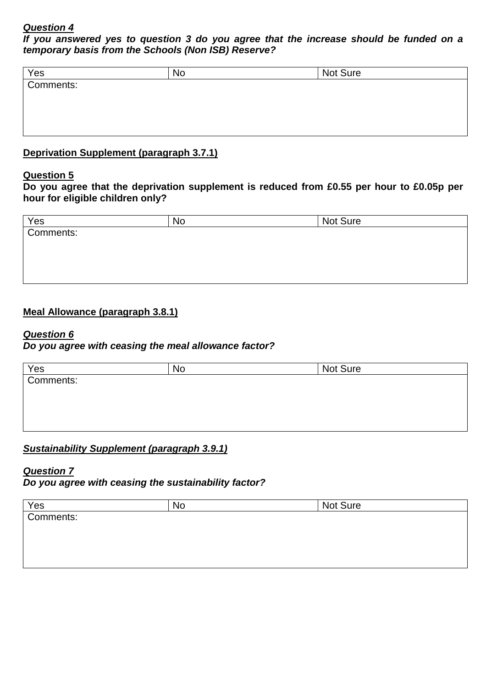**If you answered yes to question 3 do you agree that the increase should be funded on a temporary basis from the Schools (Non ISB) Reserve?**

| No | Not Sure |  |
|----|----------|--|
|    |          |  |
|    |          |  |
|    |          |  |
|    |          |  |
|    |          |  |

# **Deprivation Supplement (paragraph 3.7.1)**

### **Question 5**

**Do you agree that the deprivation supplement is reduced from £0.55 per hour to £0.05p per hour for eligible children only?** 

| No. | Not Sure |
|-----|----------|
|     |          |
|     |          |
|     |          |
|     |          |
|     |          |

### **Meal Allowance (paragraph 3.8.1)**

#### **Question 6**

### **Do you agree with ceasing the meal allowance factor?**

| Yes       | No | Not Sure |
|-----------|----|----------|
| Comments: |    |          |
|           |    |          |
|           |    |          |
|           |    |          |
|           |    |          |

## **Sustainability Supplement (paragraph 3.9.1)**

### **Question 7**

**Do you agree with ceasing the sustainability factor?** 

| Yes       | No | Not Sure |  |
|-----------|----|----------|--|
| Comments: |    |          |  |
|           |    |          |  |
|           |    |          |  |
|           |    |          |  |
|           |    |          |  |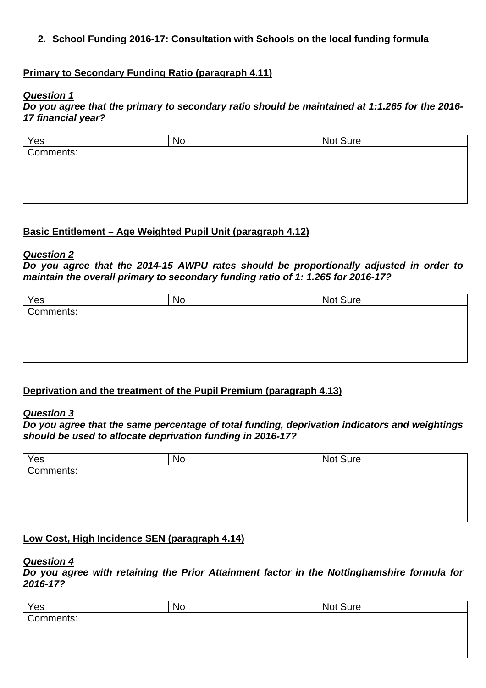**2. School Funding 2016-17: Consultation with Schools on the local funding formula** 

### **Primary to Secondary Funding Ratio (paragraph 4.11)**

#### **Question 1**

**Do you agree that the primary to secondary ratio should be maintained at 1:1.265 for the 2016- 17 financial year?** 

| Yes       | No | Not Sure |  |
|-----------|----|----------|--|
| Comments: |    |          |  |
|           |    |          |  |
|           |    |          |  |
|           |    |          |  |
|           |    |          |  |

## **Basic Entitlement – Age Weighted Pupil Unit (paragraph 4.12)**

#### **Question 2**

**Do you agree that the 2014-15 AWPU rates should be proportionally adjusted in order to maintain the overall primary to secondary funding ratio of 1: 1.265 for 2016-17?** 

| Yes       | No | Not Sure |
|-----------|----|----------|
| Comments: |    |          |
|           |    |          |
|           |    |          |
|           |    |          |
|           |    |          |

### **Deprivation and the treatment of the Pupil Premium (paragraph 4.13)**

#### **Question 3**

**Do you agree that the same percentage of total funding, deprivation indicators and weightings should be used to allocate deprivation funding in 2016-17?** 

| Yes<br>Comments: | No | Not Sure |
|------------------|----|----------|
|                  |    |          |
|                  |    |          |
|                  |    |          |
|                  |    |          |
|                  |    |          |

### **Low Cost, High Incidence SEN (paragraph 4.14)**

#### **Question 4**

**Do you agree with retaining the Prior Attainment factor in the Nottinghamshire formula for 2016-17?** 

| Yes       | <b>No</b> | Not Sure |  |
|-----------|-----------|----------|--|
| Comments: |           |          |  |
|           |           |          |  |
|           |           |          |  |
|           |           |          |  |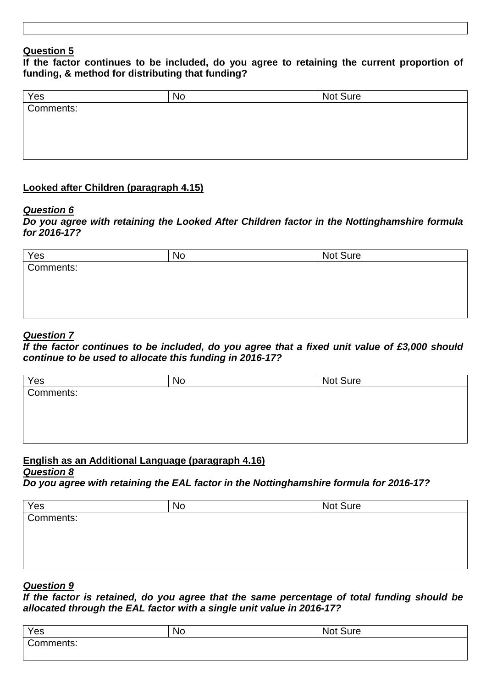**If the factor continues to be included, do you agree to retaining the current proportion of funding, & method for distributing that funding?** 

| Yes       | No | Not Sure |
|-----------|----|----------|
| Comments: |    |          |
|           |    |          |
|           |    |          |
|           |    |          |
|           |    |          |

## **Looked after Children (paragraph 4.15)**

#### **Question 6**

**Do you agree with retaining the Looked After Children factor in the Nottinghamshire formula for 2016-17?** 

| Yes       | <b>No</b> | Not Sure |
|-----------|-----------|----------|
| Comments: |           |          |
|           |           |          |
|           |           |          |
|           |           |          |
|           |           |          |

## **Question 7**

**If the factor continues to be included, do you agree that a fixed unit value of £3,000 should continue to be used to allocate this funding in 2016-17?** 

| Yes       | <b>No</b> | Not Sure |  |
|-----------|-----------|----------|--|
| Comments: |           |          |  |
|           |           |          |  |
|           |           |          |  |
|           |           |          |  |
|           |           |          |  |

## **English as an Additional Language (paragraph 4.16)**

#### **Question 8**

**Do you agree with retaining the EAL factor in the Nottinghamshire formula for 2016-17?** 

| N0 | Not Sure |
|----|----------|
|    |          |
|    |          |
|    |          |
|    |          |
|    |          |

### **Question 9**

**If the factor is retained, do you agree that the same percentage of total funding should be allocated through the EAL factor with a single unit value in 2016-17?** 

| Yes                         | <b>No</b> | <b>Sure</b><br><b>Not</b> |
|-----------------------------|-----------|---------------------------|
| C <sub>0</sub><br>.cmments: |           |                           |
|                             |           |                           |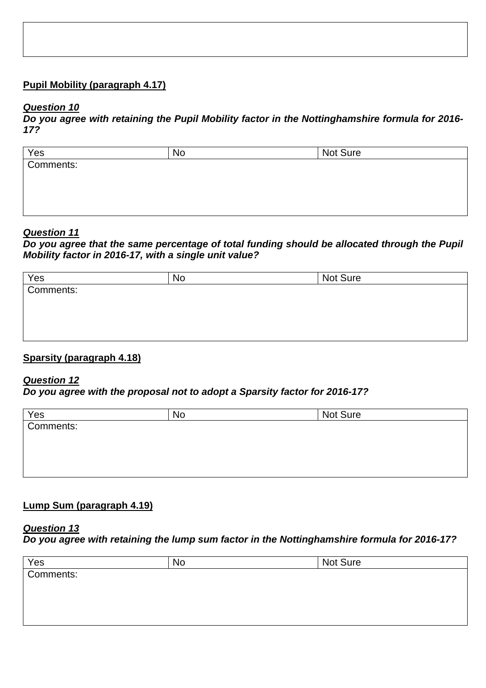## **Pupil Mobility (paragraph 4.17)**

#### **Question 10**

**Do you agree with retaining the Pupil Mobility factor in the Nottinghamshire formula for 2016- 17?** 

| Yes<br>Comments: | No | Not Sure |
|------------------|----|----------|
|                  |    |          |
|                  |    |          |
|                  |    |          |
|                  |    |          |
|                  |    |          |

#### **Question 11**

**Do you agree that the same percentage of total funding should be allocated through the Pupil Mobility factor in 2016-17, with a single unit value?** 

| Yes<br>Comments: | No | Not Sure |
|------------------|----|----------|
|                  |    |          |
|                  |    |          |
|                  |    |          |
|                  |    |          |
|                  |    |          |

### **Sparsity (paragraph 4.18)**

#### **Question 12**

**Do you agree with the proposal not to adopt a Sparsity factor for 2016-17?** 

| Yes       | No | Not Sure |
|-----------|----|----------|
| Comments: |    |          |
|           |    |          |
|           |    |          |
|           |    |          |
|           |    |          |

# **Lump Sum (paragraph 4.19)**

#### **Question 13**

**Do you agree with retaining the lump sum factor in the Nottinghamshire formula for 2016-17?** 

| Yes       | No | Not Sure |  |
|-----------|----|----------|--|
| Comments: |    |          |  |
|           |    |          |  |
|           |    |          |  |
|           |    |          |  |
|           |    |          |  |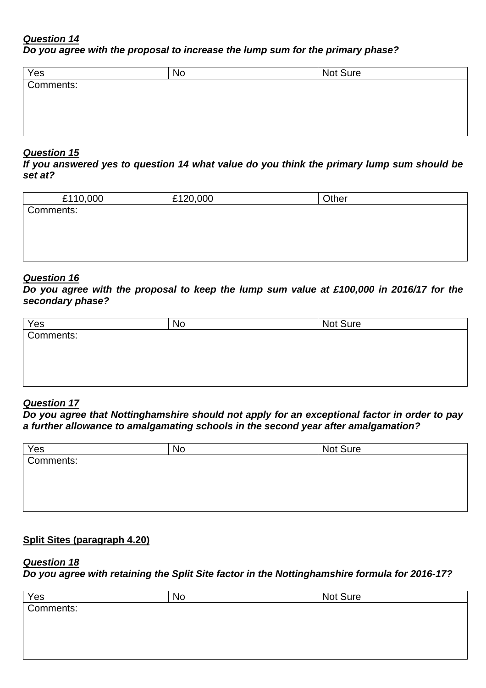**Do you agree with the proposal to increase the lump sum for the primary phase?** 

| Yes       | No | Not Sure |  |
|-----------|----|----------|--|
| Comments: |    |          |  |
|           |    |          |  |
|           |    |          |  |
|           |    |          |  |

#### **Question 15**

**If you answered yes to question 14 what value do you think the primary lump sum should be set at?** 

| £110,000  | £120,000 | Other |  |
|-----------|----------|-------|--|
| Comments: |          |       |  |
|           |          |       |  |
|           |          |       |  |
|           |          |       |  |

#### **Question 16**

**Do you agree with the proposal to keep the lump sum value at £100,000 in 2016/17 for the secondary phase?** 

| Yes<br>Comments: | No | Not Sure |
|------------------|----|----------|
|                  |    |          |
|                  |    |          |
|                  |    |          |
|                  |    |          |
|                  |    |          |

### **Question 17**

**Do you agree that Nottinghamshire should not apply for an exceptional factor in order to pay a further allowance to amalgamating schools in the second year after amalgamation?** 

| Yes       | <b>No</b> | Not Sure |
|-----------|-----------|----------|
| Comments: |           |          |
|           |           |          |
|           |           |          |
|           |           |          |
|           |           |          |

## **Split Sites (paragraph 4.20)**

### **Question 18**

**Do you agree with retaining the Split Site factor in the Nottinghamshire formula for 2016-17?** 

| No | Not Sure |  |
|----|----------|--|
|    |          |  |
|    |          |  |
|    |          |  |
|    |          |  |
|    |          |  |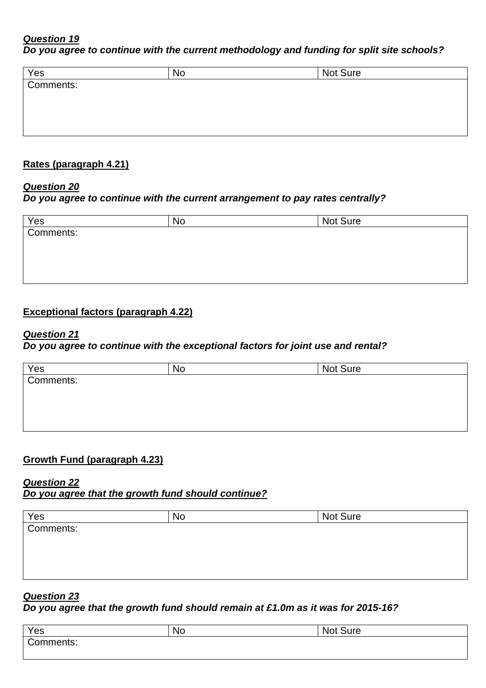# **Do you agree to continue with the current methodology and funding for split site schools?**

| Yes       | <b>No</b> | Not Sure |  |
|-----------|-----------|----------|--|
| Comments: |           |          |  |
|           |           |          |  |
|           |           |          |  |
|           |           |          |  |
|           |           |          |  |

### **Rates (paragraph 4.21)**

### **Question 20**

### **Do you agree to continue with the current arrangement to pay rates centrally?**

| Yes       | No | Not Sure |
|-----------|----|----------|
| Comments: |    |          |
|           |    |          |
|           |    |          |
|           |    |          |
|           |    |          |

## **Exceptional factors (paragraph 4.22)**

#### **Question 21**

## **Do you agree to continue with the exceptional factors for joint use and rental?**

| Yes<br>Comments: | N0 | Not Sure |
|------------------|----|----------|
|                  |    |          |
|                  |    |          |
|                  |    |          |
|                  |    |          |
|                  |    |          |

### **Growth Fund (paragraph 4.23)**

#### **Question 22 Do you agree that the growth fund should continue?**

| Yes<br>Comments: | <b>No</b> | Not Sure |  |
|------------------|-----------|----------|--|
|                  |           |          |  |
|                  |           |          |  |
|                  |           |          |  |
|                  |           |          |  |
|                  |           |          |  |

## **Question 23**

**Do you agree that the growth fund should remain at £1.0m as it was for 2015-16?** 

| Yes       | <b>No</b> | <b>Sure</b><br><b>Not</b> |
|-----------|-----------|---------------------------|
| Comments: |           |                           |
|           |           |                           |